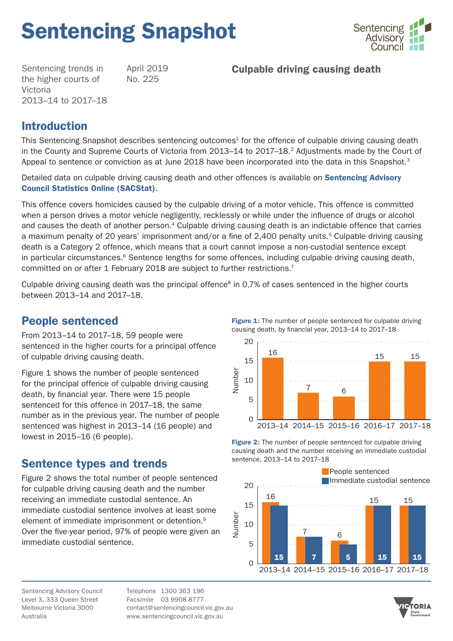# Sentencing Snapshot



Sentencing trends in the higher courts of Victoria 2013–14 to 2017–18 April 2019 No. 225

## Culpable driving causing death

## Introduction

This Sentencing Snapshot describes sentencing outcomes<sup>1</sup> for the offence of culpable driving causing death in the County and Supreme Courts of Victoria from 2013–14 to 2017–18.<sup>2</sup> Adjustments made by the Court of Appeal to sentence or conviction as at June 2018 have been incorporated into the data in this Snapshot.<sup>3</sup>

Detailed data on culpable driving causing death and other offences is available on **Sentencing Advisory** [Council Statistics Online \(SACStat\)](https://www.sentencingcouncil.vic.gov.au/sacstat/higher_courts/HC_6231_318_1.html).

This offence covers homicides caused by the culpable driving of a motor vehicle. This offence is committed when a person drives a motor vehicle negligently, recklessly or while under the influence of drugs or alcohol and causes the death of another person.<sup>4</sup> Culpable driving causing death is an indictable offence that carries a maximum penalty of 20 years' imprisonment and/or a fine of 2,400 penalty units.<sup>5</sup> Culpable driving causing death is a Category 2 offence, which means that a court cannot impose a non-custodial sentence except in particular circumstances.<sup>6</sup> Sentence lengths for some offences, including culpable driving causing death, committed on or after 1 February 2018 are subject to further restrictions.<sup>7</sup>

Culpable driving causing death was the principal offence<sup>8</sup> in 0.7% of cases sentenced in the higher courts between 2013–14 and 2017–18.

## People sentenced

From 2013–14 to 2017–18, 59 people were sentenced in the higher courts for a principal offence of culpable driving causing death.

Figure 1 shows the number of people sentenced for the principal offence of culpable driving causing death, by financial year. There were 15 people sentenced for this offence in 2017–18, the same number as in the previous year. The number of people sentenced was highest in 2013–14 (16 people) and lowest in 2015–16 (6 people).

## Sentence types and trends

Figure 2 shows the total number of people sentenced for culpable driving causing death and the number receiving an immediate custodial sentence. An immediate custodial sentence involves at least some element of immediate imprisonment or detention.9 Over the five-year period, 97% of people were given an immediate custodial sentence.

Figure 1: The number of people sentenced for culpable driving causing death, by financial year, 2013–14 to 2017–18



Figure 2: The number of people sentenced for culpable driving causing death and the number receiving an immediate custodial sentence, 2013–14 to 2017–18



TORIA

Sentencing Advisory Council Level 3, 333 Queen Street Melbourne Victoria 3000 Australia

Telephone 1300 363 196 Facsimile 03 9908 8777 contact@sentencingcouncil.vic.gov.au www.sentencingcouncil.vic.gov.au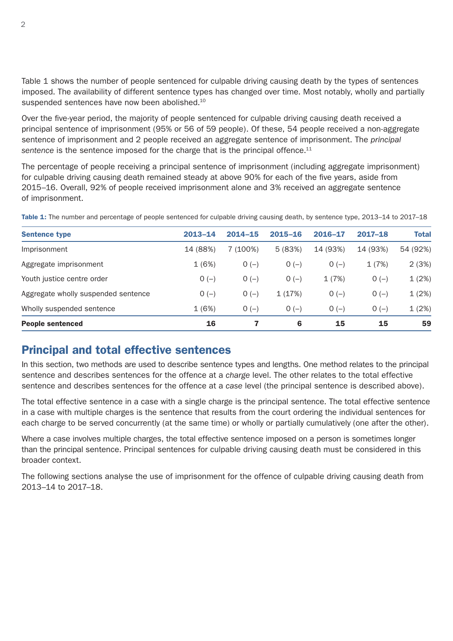Table 1 shows the number of people sentenced for culpable driving causing death by the types of sentences imposed. The availability of different sentence types has changed over time. Most notably, wholly and partially suspended sentences have now been abolished.<sup>10</sup>

Over the five-year period, the majority of people sentenced for culpable driving causing death received a principal sentence of imprisonment (95% or 56 of 59 people). Of these, 54 people received a non-aggregate sentence of imprisonment and 2 people received an aggregate sentence of imprisonment. The *principal*  sentence is the sentence imposed for the charge that is the principal offence.<sup>11</sup>

The percentage of people receiving a principal sentence of imprisonment (including aggregate imprisonment) for culpable driving causing death remained steady at above 90% for each of the five years, aside from 2015–16. Overall, 92% of people received imprisonment alone and 3% received an aggregate sentence of imprisonment.

| <b>Sentence type</b>                | $2013 - 14$ | $2014 - 15$ | $2015 - 16$ | 2016-17  | $2017 - 18$ | <b>Total</b> |
|-------------------------------------|-------------|-------------|-------------|----------|-------------|--------------|
| Imprisonment                        | 14 (88%)    | 7 (100%)    | 5(83%)      | 14 (93%) | 14 (93%)    | 54 (92%)     |
| Aggregate imprisonment              | 1(6%)       | $O(-)$      | $O(-)$      | $O(-)$   | 1(7%)       | 2(3%)        |
| Youth justice centre order          | $O(-)$      | $O(-)$      | $O(-)$      | 1(7%)    | $O(-)$      | 1(2%)        |
| Aggregate wholly suspended sentence | $O(-)$      | $O(-)$      | 1(17%)      | $O(-)$   | $O(-)$      | 1(2%)        |
| Wholly suspended sentence           | 1(6%)       | $O(-)$      | $O(-)$      | $O(-)$   | $O(-)$      | 1(2%)        |
| <b>People sentenced</b>             | 16          |             | 6           | 15       | 15          | 59           |

Table 1: The number and percentage of people sentenced for culpable driving causing death, by sentence type, 2013–14 to 2017–18

## Principal and total effective sentences

In this section, two methods are used to describe sentence types and lengths. One method relates to the principal sentence and describes sentences for the offence at a *charge* level. The other relates to the total effective sentence and describes sentences for the offence at a *case* level (the principal sentence is described above).

The total effective sentence in a case with a single charge is the principal sentence. The total effective sentence in a case with multiple charges is the sentence that results from the court ordering the individual sentences for each charge to be served concurrently (at the same time) or wholly or partially cumulatively (one after the other).

Where a case involves multiple charges, the total effective sentence imposed on a person is sometimes longer than the principal sentence. Principal sentences for culpable driving causing death must be considered in this broader context.

The following sections analyse the use of imprisonment for the offence of culpable driving causing death from 2013–14 to 2017–18.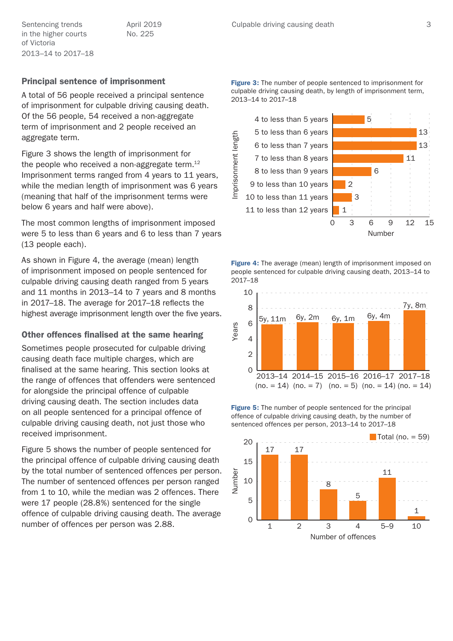in the higher courts of Victoria 2013–14 to 2017–18 April 2019 No. 225

#### Principal sentence of imprisonment

A total of 56 people received a principal sentence of imprisonment for culpable driving causing death. Of the 56 people, 54 received a non-aggregate term of imprisonment and 2 people received an aggregate term.

Figure 3 shows the length of imprisonment for the people who received a non-aggregate term. $12$ Imprisonment terms ranged from 4 years to 11 years, while the median length of imprisonment was 6 years (meaning that half of the imprisonment terms were below 6 years and half were above).

The most common lengths of imprisonment imposed were 5 to less than 6 years and 6 to less than 7 years (13 people each).

As shown in Figure 4, the average (mean) length of imprisonment imposed on people sentenced for culpable driving causing death ranged from 5 years and 11 months in 2013–14 to 7 years and 8 months in 2017–18. The average for 2017–18 reflects the highest average imprisonment length over the five years.

#### Other offences finalised at the same hearing

Sometimes people prosecuted for culpable driving causing death face multiple charges, which are finalised at the same hearing. This section looks at the range of offences that offenders were sentenced for alongside the principal offence of culpable driving causing death. The section includes data on all people sentenced for a principal offence of culpable driving causing death, not just those who received imprisonment.

Figure 5 shows the number of people sentenced for the principal offence of culpable driving causing death by the total number of sentenced offences per person. The number of sentenced offences per person ranged from 1 to 10, while the median was 2 offences. There were 17 people (28.8%) sentenced for the single offence of culpable driving causing death. The average number of offences per person was 2.88.

**Figure 3:** The number of people sentenced to imprisonment for culpable driving causing death, by length of imprisonment term, 2013–14 to 2017–18



Figure 4: The average (mean) length of imprisonment imposed on people sentenced for culpable driving causing death, 2013–14 to 2017–18



Figure 5: The number of people sentenced for the principal offence of culpable driving causing death, by the number of sentenced offences per person, 2013–14 to 2017–18

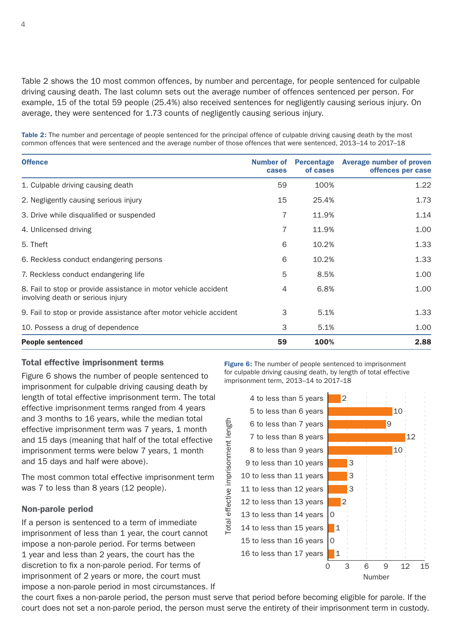Table 2 shows the 10 most common offences, by number and percentage, for people sentenced for culpable driving causing death. The last column sets out the average number of offences sentenced per person. For example, 15 of the total 59 people (25.4%) also received sentences for negligently causing serious injury. On average, they were sentenced for 1.73 counts of negligently causing serious injury.

Table 2: The number and percentage of people sentenced for the principal offence of culpable driving causing death by the most common offences that were sentenced and the average number of those offences that were sentenced, 2013–14 to 2017–18

| <b>Offence</b>                                                                                       | <b>Number of</b><br>cases | of cases | Percentage Average number of proven<br>offences per case |
|------------------------------------------------------------------------------------------------------|---------------------------|----------|----------------------------------------------------------|
| 1. Culpable driving causing death                                                                    | 59                        | 100%     | 1.22                                                     |
| 2. Negligently causing serious injury                                                                | 15                        | 25.4%    | 1.73                                                     |
| 3. Drive while disqualified or suspended                                                             | 7                         | 11.9%    | 1.14                                                     |
| 4. Unlicensed driving                                                                                | 7                         | 11.9%    | 1.00                                                     |
| 5. Theft                                                                                             | 6                         | 10.2%    | 1.33                                                     |
| 6. Reckless conduct endangering persons                                                              | 6                         | 10.2%    | 1.33                                                     |
| 7. Reckless conduct endangering life                                                                 | 5                         | 8.5%     | 1.00                                                     |
| 8. Fail to stop or provide assistance in motor vehicle accident<br>involving death or serious injury | $\overline{4}$            | 6.8%     | 1.00                                                     |
| 9. Fail to stop or provide assistance after motor vehicle accident                                   | 3                         | 5.1%     | 1.33                                                     |
| 10. Possess a drug of dependence                                                                     | 3                         | 5.1%     | 1.00                                                     |
| <b>People sentenced</b>                                                                              | 59                        | 100%     | 2.88                                                     |

#### Total effective imprisonment terms

Figure 6 shows the number of people sentenced to imprisonment for culpable driving causing death by length of total effective imprisonment term. The total effective imprisonment terms ranged from 4 years and 3 months to 16 years, while the median total effective imprisonment term was 7 years, 1 month and 15 days (meaning that half of the total effective imprisonment terms were below 7 years, 1 month and 15 days and half were above).

The most common total effective imprisonment term was 7 to less than 8 years (12 people).

#### Non-parole period

If a person is sentenced to a term of immediate imprisonment of less than 1 year, the court cannot impose a non-parole period. For terms between 1 year and less than 2 years, the court has the discretion to fix a non-parole period. For terms of imprisonment of 2 years or more, the court must impose a non-parole period in most circumstances. If Figure 6: The number of people sentenced to imprisonment for culpable driving causing death, by length of total effective imprisonment term, 2013–14 to 2017–18



the court fixes a non-parole period, the person must serve that period before becoming eligible for parole. If the court does not set a non-parole period, the person must serve the entirety of their imprisonment term in custody.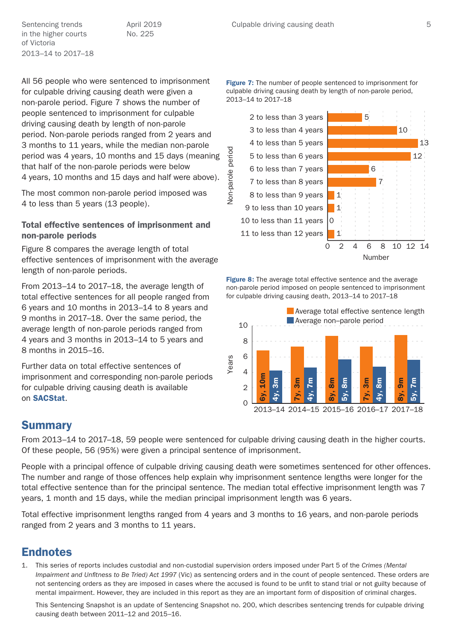in the higher courts of Victoria 2013–14 to 2017–18 April 2019 No. 225

All 56 people who were sentenced to imprisonment for culpable driving causing death were given a non-parole period. Figure 7 shows the number of people sentenced to imprisonment for culpable driving causing death by length of non-parole period. Non-parole periods ranged from 2 years and 3 months to 11 years, while the median non-parole period was 4 years, 10 months and 15 days (meaning that half of the non-parole periods were below 4 years, 10 months and 15 days and half were above).

The most common non-parole period imposed was 4 to less than 5 years (13 people).

### Total effective sentences of imprisonment and non-parole periods

Figure 8 compares the average length of total effective sentences of imprisonment with the average length of non-parole periods.

From 2013–14 to 2017–18, the average length of total effective sentences for all people ranged from 6 years and 10 months in 2013–14 to 8 years and 9 months in 2017–18. Over the same period, the average length of non-parole periods ranged from 4 years and 3 months in 2013–14 to 5 years and 8 months in 2015–16.

Further data on total effective sentences of imprisonment and corresponding non-parole periods for culpable driving causing death is available on [SACStat](https://www.sentencingcouncil.vic.gov.au/sacstat/higher_courts/HC_6231_318_1.html).

**Figure 7:** The number of people sentenced to imprisonment for culpable driving causing death by length of non-parole period, 2013–14 to 2017–18



Figure 8: The average total effective sentence and the average non-parole period imposed on people sentenced to imprisonment for culpable driving causing death, 2013–14 to 2017–18



## **Summary**

From 2013–14 to 2017–18, 59 people were sentenced for culpable driving causing death in the higher courts. Of these people, 56 (95%) were given a principal sentence of imprisonment.

People with a principal offence of culpable driving causing death were sometimes sentenced for other offences. The number and range of those offences help explain why imprisonment sentence lengths were longer for the total effective sentence than for the principal sentence. The median total effective imprisonment length was 7 years, 1 month and 15 days, while the median principal imprisonment length was 6 years.

Total effective imprisonment lengths ranged from 4 years and 3 months to 16 years, and non-parole periods ranged from 2 years and 3 months to 11 years.

## Endnotes

1. This series of reports includes custodial and non-custodial supervision orders imposed under Part 5 of the *Crimes (Mental Impairment and Unfitness to Be Tried) Act 1997* (Vic) as sentencing orders and in the count of people sentenced. These orders are not sentencing orders as they are imposed in cases where the accused is found to be unfit to stand trial or not guilty because of mental impairment. However, they are included in this report as they are an important form of disposition of criminal charges.

This Sentencing Snapshot is an update of Sentencing Snapshot no. 200, which describes sentencing trends for culpable driving causing death between 2011–12 and 2015–16.